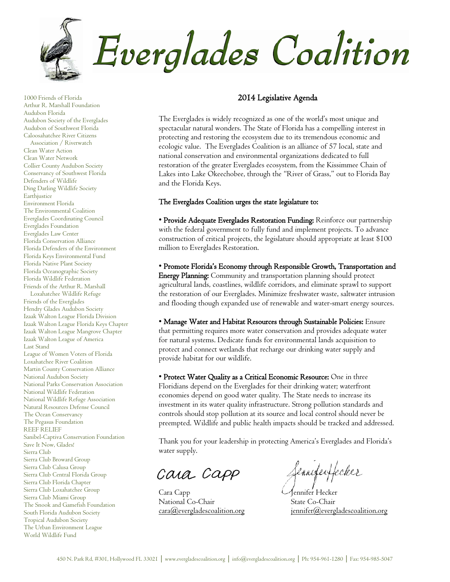

1000 Friends of Florida Arthur R. Marshall Foundation Audubon Florida Audubon Society of the Everglades Audubon of Southwest Florida Caloosahatchee River Citizens Association / Riverwatch Clean Water Action Clean Water Network Collier County Audubon Society Conservancy of Southwest Florida Defenders of Wildlife Ding Darling Wildlife Society **Earthjustice** Environment Florida The Environmental Coalition Everglades Coordinating Council Everglades Foundation Everglades Law Center Florida Conservation Alliance Florida Defenders of the Environment Florida Keys Environmental Fund Florida Native Plant Society Florida Oceanographic Society Florida Wildlife Federation Friends of the Arthur R. Marshall Loxahatchee Wildlife Refuge Friends of the Everglades Hendry Glades Audubon Society Izaak Walton League Florida Division Izaak Walton League Florida Keys Chapter Izaak Walton League Mangrove Chapter Izaak Walton League of America Last Stand League of Women Voters of Florida Loxahatchee River Coalition Martin County Conservation Alliance National Audubon Society National Parks Conservation Association National Wildlife Federation National Wildlife Refuge Association Natural Resources Defense Council The Ocean Conservancy The Pegasus Foundation REEF RELIEF Sanibel-Captiva Conservation Foundation Save It Now, Glades! Sierra Club Sierra Club Broward Group Sierra Club Calusa Group Sierra Club Central Florida Group Sierra Club Florida Chapter Sierra Club Loxahatchee Group Sierra Club Miami Group The Snook and Gamefish Foundation South Florida Audubon Society Tropical Audubon Society The Urban Environment League World Wildlife Fund

### 2014 Legislative Agenda

The Everglades is widely recognized as one of the world's most unique and spectacular natural wonders. The State of Florida has a compelling interest in protecting and restoring the ecosystem due to its tremendous economic and ecologic value. The Everglades Coalition is an alliance of 57 local, state and national conservation and environmental organizations dedicated to full restoration of the greater Everglades ecosystem, from the Kissimmee Chain of Lakes into Lake Okeechobee, through the "River of Grass," out to Florida Bay and the Florida Keys.

### The Everglades Coalition urges the state legislature to:

• Provide Adequate Everglades Restoration Funding: Reinforce our partnership with the federal government to fully fund and implement projects. To advance construction of critical projects, the legislature should appropriate at least \$100 million to Everglades Restoration.

• Promote Florida's Economy through Responsible Growth, Transportation and Energy Planning: Community and transportation planning should protect agricultural lands, coastlines, wildlife corridors, and eliminate sprawl to support the restoration of our Everglades. Minimize freshwater waste, saltwater intrusion and flooding though expanded use of renewable and water-smart energy sources.

• Manage Water and Habitat Resources through Sustainable Policies: Ensure that permitting requires more water conservation and provides adequate water for natural systems. Dedicate funds for environmental lands acquisition to protect and connect wetlands that recharge our drinking water supply and provide habitat for our wildlife.

• Protect Water Quality as a Critical Economic Resource: One in three Floridians depend on the Everglades for their drinking water; waterfront economies depend on good water quality. The State needs to increase its investment in its water quality infrastructure. Strong pollution standards and controls should stop pollution at its source and local control should never be preempted. Wildlife and public health impacts should be tracked and addressed.

Thank you for your leadership in protecting America's Everglades and Florida's water supply.

Caia Capp

Cara Capp Jennifer Hecker National Co-Chair State Co-Chair

ennifeiffecker

 $j$ ennifer@evergladescoalition.org